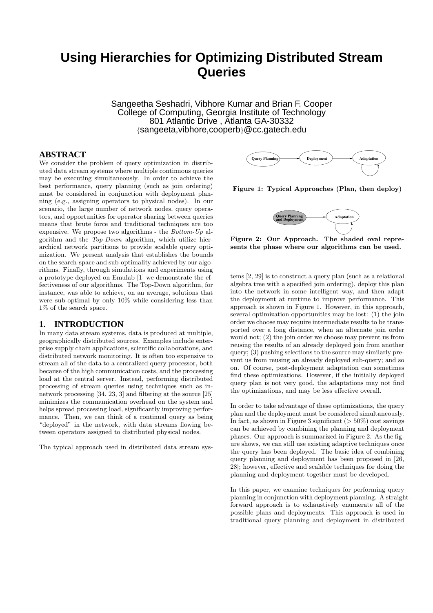# **Using Hierarchies for Optimizing Distributed Stream Queries**

Sangeetha Seshadri, Vibhore Kumar and Brian F. Cooper College of Computing, Georgia Institute of Technology 801 Atlantic Drive , Atlanta GA-30332 {sangeeta,vibhore,cooperb}@cc.gatech.edu

## **ABSTRACT**

We consider the problem of query optimization in distributed data stream systems where multiple continuous queries may be executing simultaneously. In order to achieve the best performance, query planning (such as join ordering) must be considered in conjunction with deployment planning (e.g., assigning operators to physical nodes). In our scenario, the large number of network nodes, query operators, and opportunities for operator sharing between queries means that brute force and traditional techniques are too expensive. We propose two algorithms - the  $Bottom$ - $Up$  algorithm and the Top-Down algorithm, which utilize hierarchical network partitions to provide scalable query optimization. We present analysis that establishes the bounds on the search-space and sub-optimality achieved by our algorithms. Finally, through simulations and experiments using a prototype deployed on Emulab [1] we demonstrate the effectiveness of our algorithms. The Top-Down algorithm, for instance, was able to achieve, on an average, solutions that were sub-optimal by only 10% while considering less than 1% of the search space.

#### **1. INTRODUCTION**

In many data stream systems, data is produced at multiple, geographically distributed sources. Examples include enterprise supply chain applications, scientific collaborations, and distributed network monitoring. It is often too expensive to stream all of the data to a centralized query processor, both because of the high communication costs, and the processing load at the central server. Instead, performing distributed processing of stream queries using techniques such as innetwork processing [34, 23, 3] and filtering at the source [25] minimizes the communication overhead on the system and helps spread processing load, significantly improving performance. Then, we can think of a continual query as being "deployed" in the network, with data streams flowing between operators assigned to distributed physical nodes.

The typical approach used in distributed data stream sys-



Figure 1: Typical Approaches (Plan, then deploy)



Figure 2: Our Approach. The shaded oval represents the phase where our algorithms can be used.

tems [2, 29] is to construct a query plan (such as a relational algebra tree with a specified join ordering), deploy this plan into the network in some intelligent way, and then adapt the deployment at runtime to improve performance. This approach is shown in Figure 1. However, in this approach, several optimization opportunities may be lost: (1) the join order we choose may require intermediate results to be transported over a long distance, when an alternate join order would not; (2) the join order we choose may prevent us from reusing the results of an already deployed join from another query; (3) pushing selections to the source may similarly prevent us from reusing an already deployed sub-query; and so on. Of course, post-deployment adaptation can sometimes find these optimizations. However, if the initially deployed query plan is not very good, the adaptations may not find the optimizations, and may be less effective overall.

In order to take advantage of these optimizations, the query plan and the deployment must be considered simultaneously. In fact, as shown in Figure 3 significant ( $> 50\%$ ) cost savings can be achieved by combining the planning and deployment phases. Our approach is summarized in Figure 2. As the figure shows, we can still use existing adaptive techniques once the query has been deployed. The basic idea of combining query planning and deployment has been proposed in [26, 28]; however, effective and scalable techniques for doing the planning and deployment together must be developed.

In this paper, we examine techniques for performing query planning in conjunction with deployment planning. A straightforward approach is to exhaustively enumerate all of the possible plans and deployments. This approach is used in traditional query planning and deployment in distributed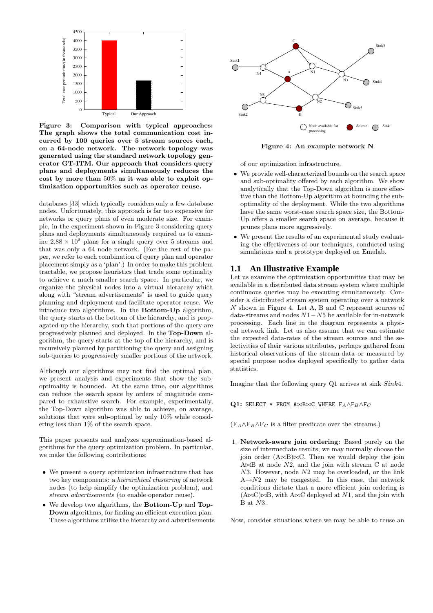

Figure 3: Comparison with typical approaches: The graph shows the total communication cost incurred by 100 queries over 5 stream sources each, on a 64-node network. The network topology was generated using the standard network topology generator GT-ITM. Our approach that considers query plans and deployments simultaneously reduces the cost by more than 50% as it was able to exploit optimization opportunities such as operator reuse.

databases [33] which typically considers only a few database nodes. Unfortunately, this approach is far too expensive for networks or query plans of even moderate size. For example, in the experiment shown in Figure 3 considering query plans and deployments simultaneously required us to examine  $2.88 \times 10^9$  plans for a single query over 5 streams and that was only a 64 node network. (For the rest of the paper, we refer to each combination of query plan and operator placement simply as a 'plan'.) In order to make this problem tractable, we propose heuristics that trade some optimality to achieve a much smaller search space. In particular, we organize the physical nodes into a virtual hierarchy which along with "stream advertisements" is used to guide query planning and deployment and facilitate operator reuse. We introduce two algorithms. In the Bottom-Up algorithm, the query starts at the bottom of the hierarchy, and is propagated up the hierarchy, such that portions of the query are progressively planned and deployed. In the Top-Down algorithm, the query starts at the top of the hierarchy, and is recursively planned by partitioning the query and assigning sub-queries to progressively smaller portions of the network.

Although our algorithms may not find the optimal plan, we present analysis and experiments that show the suboptimality is bounded. At the same time, our algorithms can reduce the search space by orders of magnitude compared to exhaustive search. For example, experimentally, the Top-Down algorithm was able to achieve, on average, solutions that were sub-optimal by only 10% while considering less than 1% of the search space.

This paper presents and analyzes approximation-based algorithms for the query optimization problem. In particular, we make the following contributions:

- We present a query optimization infrastructure that has two key components: a hierarchical clustering of network nodes (to help simplify the optimization problem), and stream advertisements (to enable operator reuse).
- We develop two algorithms, the Bottom-Up and Top-Down algorithms, for finding an efficient execution plan. These algorithms utilize the hierarchy and advertisements



Figure 4: An example network N

of our optimization infrastructure.

- We provide well-characterized bounds on the search space and sub-optimality offered by each algorithm. We show analytically that the Top-Down algorithm is more effective than the Bottom-Up algorithm at bounding the suboptimality of the deployment. While the two algorithms have the same worst-case search space size, the Bottom-Up offers a smaller search space on average, because it prunes plans more aggressively.
- We present the results of an experimental study evaluating the effectiveness of our techniques, conducted using simulations and a prototype deployed on Emulab.

## **1.1 An Illustrative Example**

Let us examine the optimization opportunities that may be available in a distributed data stream system where multiple continuous queries may be executing simultaneously. Consider a distributed stream system operating over a network N shown in Figure 4. Let A, B and C represent sources of data-streams and nodes  $N1-N5$  be available for in-network processing. Each line in the diagram represents a physical network link. Let us also assume that we can estimate the expected data-rates of the stream sources and the selectivities of their various attributes, perhaps gathered from historical observations of the stream-data or measured by special purpose nodes deployed specifically to gather data statistics.

Imagine that the following query Q1 arrives at sink Sink4.

Q1: SELECT \* FROM A $\bowtie$ B $\bowtie$ C WHERE FA∧FB∧FC

 $(F_A \wedge F_B \wedge F_C$  is a filter predicate over the streams.)

1. Network-aware join ordering: Based purely on the size of intermediate results, we may normally choose the join order  $(A \Join B) \Join C$ . Then we would deploy the join  $\Lambda\!\!\Join\!\!B$  at node  $N2,$  and the join with stream C at node N3. However, node N2 may be overloaded, or the link  $A \rightarrow N2$  may be congested. In this case, the network conditions dictate that a more efficient join ordering is  $(A \Join C) \Join B$ , with  $A \Join C$  deployed at N1, and the join with B at N3.

Now, consider situations where we may be able to reuse an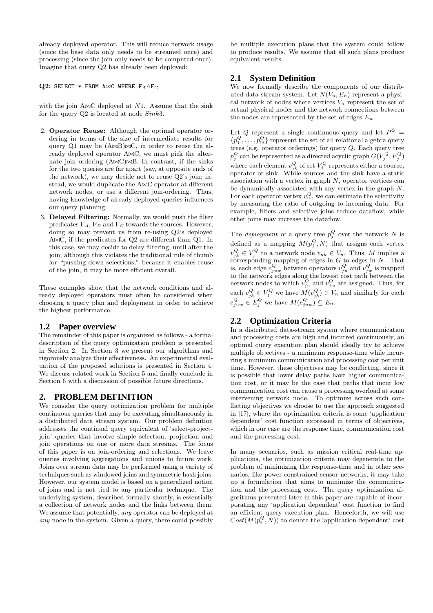already deployed operator. This will reduce network usage (since the base data only needs to be streamed once) and processing (since the join only needs to be computed once). Imagine that query Q2 has already been deployed:

Q2: SELECT \* FROM A $\bowtie$ C WHERE FA $\wedge$ F $\subset$ 

with the join  $A \Join C$  deployed at N1. Assume that the sink for the query Q2 is located at node Sink3.

- 2. Operator Reuse: Although the optimal operator ordering in terms of the size of intermediate results for query Q1 may be  $(A \Join B) \Join C$ , in order to reuse the already deployed operator  $A \Join C$ , we must pick the alternate join ordering  $(A \Join C) \Join B$ . In contrast, if the sinks for the two queries are far apart (say, at opposite ends of the network), we may decide not to reuse Q2's join; instead, we would duplicate the  $A \Join C$  operator at different network nodes, or use a different join-ordering. Thus, having knowledge of already deployed queries influences our query planning.
- 3. Delayed Filtering: Normally, we would push the filter predicates  $F_A$ ,  $F_B$  and  $F_C$  towards the sources. However, doing so may prevent us from re-using Q2's deployed  $A\Join C$ , if the predicates for  $Q2$  are different than  $Q1$ . In this case, we may decide to delay filtering, until after the join; although this violates the traditional rule of thumb for "pushing down selections," because it enables reuse of the join, it may be more efficient overall.

These examples show that the network conditions and already deployed operators must often be considered when choosing a query plan and deployment in order to achieve the highest performance.

## **1.2 Paper overview**

The remainder of this paper is organized as follows - a formal description of the query optimization problem is presented in Section 2. In Section 3 we present our algorithms and rigorously analyze their effectiveness. An experimental evaluation of the proposed solutions is presented in Section 4. We discuss related work in Section 5 and finally conclude in Section 6 with a discussion of possible future directions.

## **2. PROBLEM DEFINITION**

We consider the query optimization problem for multiple continuous queries that may be executing simultaneously in a distributed data stream system. Our problem definition addresses the continual query equivalent of 'select-projectjoin' queries that involve simple selection, projection and join operations on one or more data streams. The focus of this paper is on join-ordering and selections. We leave queries involving aggregations and unions to future work. Joins over stream data may be performed using a variety of techniques such as windowed joins and symmetric hash joins. However, our system model is based on a generalized notion of joins and is not tied to any particular technique. The underlying system, described formally shortly, is essentially a collection of network nodes and the links between them. We assume that potentially, any operator can be deployed at any node in the system. Given a query, there could possibly

be multiple execution plans that the system could follow to produce results. We assume that all such plans produce equivalent results.

## **2.1 System Definition**

We now formally describe the components of our distributed data stream system. Let  $N(V_n, E_n)$  represent a physical network of nodes where vertices  $V_n$  represent the set of actual physical nodes and the network connections between the nodes are represented by the set of edges  $E_n$ .

Let Q represent a single continuous query and let  $P^Q =$  $\{p_1^Q, \ldots, p_m^Q\}$  represent the set of all relational algebra query trees (e.g. operator orderings) for query Q. Each query tree  $p_j^Q \; \text{can be represented as a directed acyclic graph} \, G(V_j^Q, E_j^Q)$ where each element  $v_{jk}^Q$  of set  $V_j^Q$  represents either a source, operator or sink. While sources and the sink have a static association with a vertex in graph  $N$ , operator vertices can be dynamically associated with any vertex in the graph N. For each operator vertex  $v_u^Q$ , we can estimate the selectivity by measuring the ratio of outgoing to incoming data. For example, filters and selective joins reduce dataflow, while other joins may increase the dataflow.

The *deployment* of a query tree  $p_j^Q$  over the network N is defined as a mapping  $M(p_j^Q, N)$  that assigns each vertex  $v_{jk}^Q \in V_j^Q$  to a network node  $v_{nk} \in V_n$ . Thus, M implies a corresponding mapping of edges in  $G$  to edges in  $N$ . That is, each edge  $e_{juw}^Q$  between operators  $v_{ju}^Q$  and  $v_{jw}^Q$  is mapped to the network edges along the lowest cost path between the network nodes to which  $v_{ju}^{\overline{Q}}$  and  $v_{jw}^{\overline{Q}}$  are assigned. Thus, for each  $v_{jk}^Q \in V_j^Q$  we have  $M(v_{jk}^Q) \in V_n$  and similarly for each  $e_{juw}^Q \in E_j^Q$  we have  $M(e_{juw}^Q) \subseteq E_n$ .

## **2.2 Optimization Criteria**

In a distributed data-stream system where communication and processing costs are high and incurred continuously, an optimal query execution plan should ideally try to achieve multiple objectives - a minimum response-time while incurring a minimum communication and processing cost per unit time. However, these objectives may be conflicting, since it is possible that lower delay paths have higher communication cost, or it may be the case that paths that incur low communication cost can cause a processing overload at some intervening network node. To optimize across such conflicting objectives we choose to use the approach suggested in [17], where the optimization criteria is some 'application dependent' cost function expressed in terms of objectives, which in our case are the response time, communication cost and the processing cost.

In many scenarios, such as mission critical real-time applications, the optimization criteria may degenerate to the problem of minimizing the response-time and in other scenarios, like power constrained sensor networks, it may take up a formulation that aims to minimize the communication and the processing cost. The query optimization algorithms presented later in this paper are capable of incorporating any 'application dependent' cost function to find an efficient query execution plan. Henceforth, we will use  $Cost(M(p_i^Q, N))$  to denote the 'application dependent' cost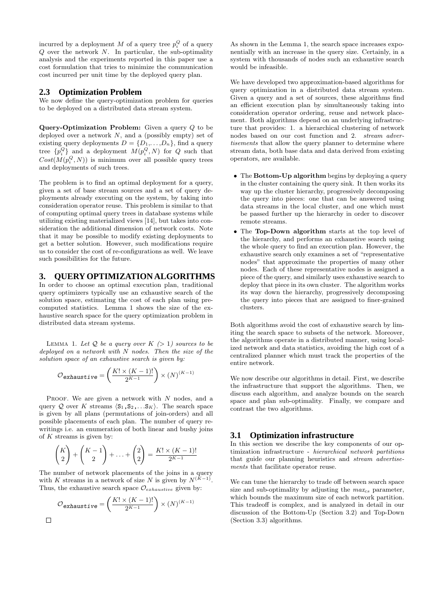incurred by a deployment  $M$  of a query tree  $p_i^Q$  of a query  $Q$  over the network  $N$ . In particular, the sub-optimality analysis and the experiments reported in this paper use a cost formulation that tries to minimize the communication cost incurred per unit time by the deployed query plan.

## **2.3 Optimization Problem**

We now define the query-optimization problem for queries to be deployed on a distributed data stream system.

Query-Optimization Problem: Given a query Q to be deployed over a network  $N$ , and a (possibly empty) set of existing query deployments  $D = \{D_1, \ldots, D_n\}$ , find a query tree  $\{p_i^Q\}$  and a deployment  $M(p_i^Q, N)$  for Q such that  $Cost(M(p_i^Q, N))$  is minimum over all possible query trees and deployments of such trees.

The problem is to find an optimal deployment for a query, given a set of base stream sources and a set of query deployments already executing on the system, by taking into consideration operator reuse. This problem is similar to that of computing optimal query trees in database systems while utilizing existing materialized views [14], but takes into consideration the additional dimension of network costs. Note that it may be possible to modify existing deployments to get a better solution. However, such modifications require us to consider the cost of re-configurations as well. We leave such possibilities for the future.

## **3. QUERY OPTIMIZATION ALGORITHMS**

In order to choose an optimal execution plan, traditional query optimizers typically use an exhaustive search of the solution space, estimating the cost of each plan using precomputed statistics. Lemma 1 shows the size of the exhaustive search space for the query optimization problem in distributed data stream systems.

LEMMA 1. Let  $Q$  be a query over  $K$  (> 1) sources to be deployed on a network with N nodes. Then the size of the solution space of an exhaustive search is given by:

$$
\mathcal{O}_{\mathbf{exhaustive}} = \left(\frac{K! \times (K-1)!}{2^{K-1}}\right) \times (N)^{(K-1)}
$$

PROOF. We are given a network with  $N$  nodes, and a query Q over K streams  $\langle S_1, S_2, \ldots, S_K \rangle$ . The search space is given by all plans (permutations of join-orders) and all possible placements of each plan. The number of query rewritings i.e. an enumeration of both linear and bushy joins of  $K$  streams is given by:

$$
\binom{K}{2} + \binom{K-1}{2} + \ldots + \binom{2}{2} = \frac{K! \times (K-1)!}{2^{K-1}}
$$

The number of network placements of the joins in a query with K streams in a network of size N is given by  $N^{(K-1)}$ . Thus, the exhaustive search space  $\mathcal{O}_{exhaustive}$  given by:

$$
\mathcal{O}_{\mathbf{exhaustive}} = \left(\frac{K! \times (K-1)!}{2^{K-1}}\right) \times (N)^{(K-1)}
$$

 $\Box$ 

As shown in the Lemma 1, the search space increases exponentially with an increase in the query size. Certainly, in a system with thousands of nodes such an exhaustive search would be infeasible.

We have developed two approximation-based algorithms for query optimization in a distributed data stream system. Given a query and a set of sources, these algorithms find an efficient execution plan by simultaneously taking into consideration operator ordering, reuse and network placement. Both algorithms depend on an underlying infrastructure that provides: 1. a hierarchical clustering of network nodes based on our cost function and 2. stream advertisements that allow the query planner to determine where stream data, both base data and data derived from existing operators, are available.

- The **Bottom-Up algorithm** begins by deploying a query in the cluster containing the query sink. It then works its way up the cluster hierarchy, progressively decomposing the query into pieces: one that can be answered using data streams in the local cluster, and one which must be passed further up the hierarchy in order to discover remote streams.
- The Top-Down algorithm starts at the top level of the hierarchy, and performs an exhaustive search using the whole query to find an execution plan. However, the exhaustive search only examines a set of "representative nodes" that approximate the properties of many other nodes. Each of these representative nodes is assigned a piece of the query, and similarly uses exhaustive search to deploy that piece in its own cluster. The algorithm works its way down the hierarchy, progressively decomposing the query into pieces that are assigned to finer-grained clusters.

Both algorithms avoid the cost of exhaustive search by limiting the search space to subsets of the network. Moreover, the algorithms operate in a distributed manner, using localized network and data statistics, avoiding the high cost of a centralized planner which must track the properties of the entire network.

We now describe our algorithms in detail. First, we describe the infrastructure that support the algorithms. Then, we discuss each algorithm, and analyze bounds on the search space and plan sub-optimality. Finally, we compare and contrast the two algorithms.

## **3.1 Optimization infrastructure**

In this section we describe the key components of our optimization infrastructure - hierarchical network partitions that guide our planning heuristics and stream advertisements that facilitate operator reuse.

We can tune the hierarchy to trade off between search space size and sub-optimality by adjusting the  $max_{cs}$  parameter, which bounds the maximum size of each network partition. This tradeoff is complex, and is analyzed in detail in our discussion of the Bottom-Up (Section 3.2) and Top-Down (Section 3.3) algorithms.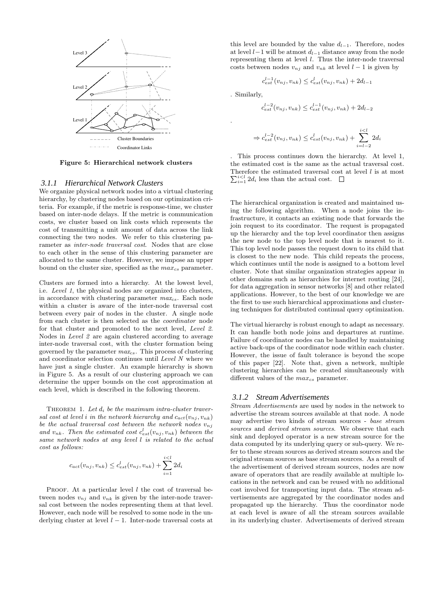

Figure 5: Hierarchical network clusters

#### *3.1.1 Hierarchical Network Clusters*

We organize physical network nodes into a virtual clustering hierarchy, by clustering nodes based on our optimization criteria. For example, if the metric is response-time, we cluster based on inter-node delays. If the metric is communication costs, we cluster based on link costs which represents the cost of transmitting a unit amount of data across the link connecting the two nodes. We refer to this clustering parameter as inter-node traversal cost. Nodes that are close to each other in the sense of this clustering parameter are allocated to the same cluster. However, we impose an upper bound on the cluster size, specified as the  $max_{cs}$  parameter.

Clusters are formed into a hierarchy. At the lowest level, i.e. Level 1, the physical nodes are organized into clusters, in accordance with clustering parameter  $max_{cs}$ . Each node within a cluster is aware of the inter-node traversal cost between every pair of nodes in the cluster. A single node from each cluster is then selected as the coordinator node for that cluster and promoted to the next level, Level 2. Nodes in Level 2 are again clustered according to average inter-node traversal cost, with the cluster formation being governed by the parameter  $max_{cs}$ . This process of clustering and coordinator selection continues until Level N where we have just a single cluster. An example hierarchy is shown in Figure 5. As a result of our clustering approach we can determine the upper bounds on the cost approximation at each level, which is described in the following theorem.

THEOREM 1. Let  $d_i$  be the maximum intra-cluster traversal cost at level i in the network hierarchy and  $c_{act}(v_{ni}, v_{nk})$ be the actual traversal cost between the network nodes  $v_{nj}$ and  $v_{nk}$ . Then the estimated cost  $c_{est}^l(v_{nj}, v_{nk})$  between the same network nodes at any level l is related to the actual cost as follows:

$$
c_{act}(v_{nj}, v_{nk}) \leq c_{est}^{l}(v_{nj}, v_{nk}) + \sum_{i=1}^{i
$$

PROOF. At a particular level  $l$  the cost of traversal between nodes  $v_{nj}$  and  $v_{nk}$  is given by the inter-node traversal cost between the nodes representing them at that level. However, each node will be resolved to some node in the underlying cluster at level  $l - 1$ . Inter-node traversal costs at

this level are bounded by the value  $d_{l-1}$ . Therefore, nodes at level  $l-1$  will be atmost  $d_{l-1}$  distance away from the node representing them at level  $l$ . Thus the inter-node traversal costs between nodes  $v_{nj}$  and  $v_{nk}$  at level  $l-1$  is given by

$$
c_{est}^{l-1}(v_{nj}, v_{nk}) \le c_{est}^{l}(v_{nj}, v_{nk}) + 2d_{l-1}
$$

. Similarly,

.

$$
c_{est}^{l-2}(v_{nj}, v_{nk}) \leq c_{est}^{l-1}(v_{nj}, v_{nk}) + 2d_{l-2}
$$

$$
\Rightarrow c_{est}^{l-2}(v_{nj}, v_{nk}) \le c_{est}^{l}(v_{nj}, v_{nk}) + \sum_{i=l-2}^{i
$$

. This process continues down the hierarchy. At level 1, the estimated cost is the same as the actual traversal cost. Therefore the estimated traversal cost at level  $l$  is at most  $\sum_{i=1}^{i \leq l} 2d_i$  less than the actual cost.

The hierarchical organization is created and maintained using the following algorithm. When a node joins the infrastructure, it contacts an existing node that forwards the join request to its coordinator. The request is propagated up the hierarchy and the top level coordinator then assigns the new node to the top level node that is nearest to it. This top level node passes the request down to its child that is closest to the new node. This child repeats the process, which continues until the node is assigned to a bottom level cluster. Note that similar organization strategies appear in other domains such as hierarchies for internet routing [24], for data aggregation in sensor networks [8] and other related applications. However, to the best of our knowledge we are the first to use such hierarchical approximations and clustering techniques for distributed continual query optimization.

The virtual hierarchy is robust enough to adapt as necessary. It can handle both node joins and departures at runtime. Failure of coordinator nodes can be handled by maintaining active back-ups of the coordinator node within each cluster. However, the issue of fault tolerance is beyond the scope of this paper [22]. Note that, given a network, multiple clustering hierarchies can be created simultaneously with different values of the  $max_{cs}$  parameter.

#### *3.1.2 Stream Advertisements*

Stream Advertisements are used by nodes in the network to advertise the stream sources available at that node. A node may advertise two kinds of stream sources - base stream sources and *derived stream sources*. We observe that each sink and deployed operator is a new stream source for the data computed by its underlying query or sub-query. We refer to these stream sources as derived stream sources and the original stream sources as base stream sources. As a result of the advertisement of derived stream sources, nodes are now aware of operators that are readily available at multiple locations in the network and can be reused with no additional cost involved for transporting input data. The stream advertisements are aggregated by the coordinator nodes and propagated up the hierarchy. Thus the coordinator node at each level is aware of all the stream sources available in its underlying cluster. Advertisements of derived stream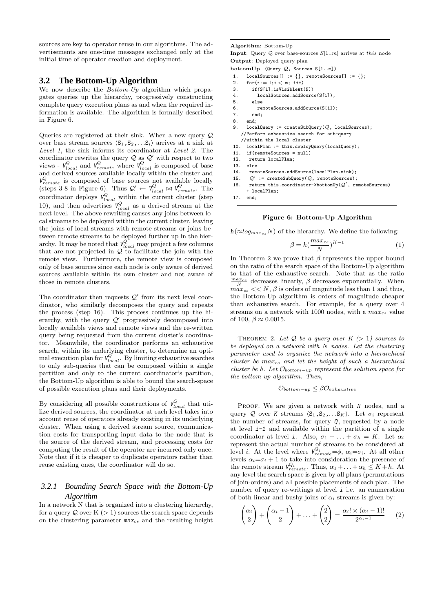sources are key to operator reuse in our algorithms. The advertisements are one-time messages exchanged only at the initial time of operator creation and deployment.

#### **3.2 The Bottom-Up Algorithm**

We now describe the *Bottom-Up* algorithm which propagates queries up the hierarchy, progressively constructing complete query execution plans as and when the required information is available. The algorithm is formally described in Figure 6.

Queries are registered at their sink. When a new query Q over base stream sources  $\langle S_1, S_2, \ldots S_i \rangle$  arrives at a sink at Level 1, the sink informs its coordinator at Level 2. The coordinator rewrites the query  $\mathcal Q$  as  $\mathcal Q'$  with respect to two views -  $V_{local}^{Q}$  and  $V_{remote}^{Q}$  where  $V_{local}^{Q}$  is composed of base and derived sources available locally within the cluster and  $V_{remote}^{Q}$  is composed of base sources not available locally (steps 3-8 in Figure 6). Thus  $Q' \leftarrow V_{local}^Q \bowtie V_{remote}^Q$ . The coordinator deploys  $V_{local}^Q$  within the current cluster (step 10), and then advertises  $V_{local}^Q$  as a derived stream at the next level. The above rewriting causes any joins between local streams to be deployed within the current cluster, leaving the joins of local streams with remote streams or joins between remote streams to be deployed further up in the hierarchy. It may be noted that  $v_{local}^{\mathcal{Q}}$  may project a few columns that are not projected in  $Q$  to facilitate the join with the remote view. Furthermore, the remote view is composed only of base sources since each node is only aware of derived sources available within its own cluster and not aware of those in remote clusters.

The coordinator then requests  $\mathcal{Q}'$  from its next level coordinator, who similarly decomposes the query and repeats the process (step 16). This process continues up the hierarchy, with the query  $Q'$  progressively decomposed into locally available views and remote views and the re-written query being requested from the current cluster's coordinator. Meanwhile, the coordinator performs an exhaustive search, within its underlying cluster, to determine an optimal execution plan for  $V_{local}^{Q}$ . By limiting exhaustive searches to only sub-queries that can be composed within a single partition and only to the current coordinator's partition, the Bottom-Up algorithm is able to bound the search-space of possible execution plans and their deployments.

By considering all possible constructions of  $V_{local}^Q$  that utilize derived sources, the coordinator at each level takes into account reuse of operators already existing in its underlying cluster. When using a derived stream source, communication costs for transporting input data to the node that is the source of the derived stream, and processing costs for computing the result of the operator are incurred only once. Note that if it is cheaper to duplicate operators rather than reuse existing ones, the coordinator will do so.

## *3.2.1 Bounding Search Space with the Bottom-Up Algorithm*

In a network N that is organized into a clustering hierarchy, for a query  $Q$  over  $K$  ( $> 1$ ) sources the search space depends on the clustering parameter  $max_{cs}$  and the resulting height Algorithm: Bottom-Up

**Input:** Query Q over base-sources  $S[1..m]$  arrives at this node Output: Deployed query plan

bottomUp (Query Q, Sources S[1..m])

1. localSources[] :=  $\{\}$ , remoteSources[] :=  $\{\}$ ;

- 2.  $for (i := 1; i < m; i++)$
- 3. if(S[i].isVisibleAt(N))
- 4. localSources.addSource(S[i]);
- 5. else<br>6. re
- 6. remoteSources.addSource(S[i]);<br>7. end;
- end;
- 8. end;
- 9. localQuery := createSubQuery( $Q$ , localSources); //Perform exhaustive search for sub-query
- //within the local cluster<br>10. localPlan := this.deploy
- 10. localPlan := this.deployQuery(localQuery);
- 11. if(remoteSources = null)
- 12. return localPlan;<br>13. else
- 13. else
- 14. remoteSources.addSource(localPlan.sink);
- 15.  $Q'$  := createSubQuery( $Q$ , remoteSources);
- 16. return this.coordinator->bottomUp( $Q'$ , remoteSources)

+ localPlan;

```
17. end;
```
#### Figure 6: Bottom-Up Algorithm

 $h(\approx log_{max_{cs}}N)$  of the hierarchy. We define the following:

$$
\beta = h(\frac{max_{cs}}{N})^{K-1}
$$
 (1)

In Theorem 2 we prove that  $\beta$  represents the upper bound on the ratio of the search space of the Bottom-Up algorithm to that of the exhaustive search. Note that as the ratio  $\frac{max_{cs}}{N}$  decreases linearly,  $\beta$  decreases exponentially. When  $\hat{max}_{cs} \ll N$ ,  $\beta$  is orders of magnitude less than 1 and thus, the Bottom-Up algorithm is orders of magnitude cheaper than exhaustive search. For example, for a query over 4 streams on a network with 1000 nodes, with a  $max_{cs}$  value of 100,  $\beta \approx 0.0015$ .

THEOREM 2. Let  $Q$  be a query over  $K$  (> 1) sources to be deployed on a network with  $N$  nodes. Let the clustering parameter used to organize the network into a hierarchical  $cluster$  be  $max_{cs}$  and let the height of such a hierarchical cluster be h. Let  $\mathcal{O}_{bottom-up}$  represent the solution space for the bottom-up algorithm. Then,

$$
\mathcal{O}_{bottom-up} \leq \beta \mathcal{O}_{exhaustive}
$$

PROOF. We are given a network with  $N$  nodes, and a query Q over K streams  $\langle S_1, S_2, \ldots S_K \rangle$ . Let  $\sigma_i$  represent the number of streams, for query  $Q$ , requested by a node at level i-1 and available within the partition of a single coordinator at level i. Also,  $\sigma_1 + \ldots + \sigma_h = K$ . Let  $\alpha_i$ represent the actual number of streams to be considered at level *i*. At the level where  $V_{remote}^{Q_i} = \phi$ ,  $\alpha_i = \sigma_i$ . At all other levels  $\alpha_i = \sigma_i + 1$  to take into consideration the presence of the remote stream  $V_{remote}^{Q_i}$ . Thus,  $\alpha_1 + \ldots + \alpha_h \leq K + h$ . At any level the search space is given by all plans (permutations of join-orders) and all possible placements of each plan. The number of query re-writings at level i i.e. an enumeration of both linear and bushy joins of  $\alpha_i$  streams is given by:

$$
\begin{pmatrix} \alpha_i \\ 2 \end{pmatrix} + \begin{pmatrix} \alpha_i - 1 \\ 2 \end{pmatrix} + \ldots + \begin{pmatrix} 2 \\ 2 \end{pmatrix} = \frac{\alpha_i! \times (\alpha_i - 1)!}{2^{\alpha_i - 1}} \qquad (2)
$$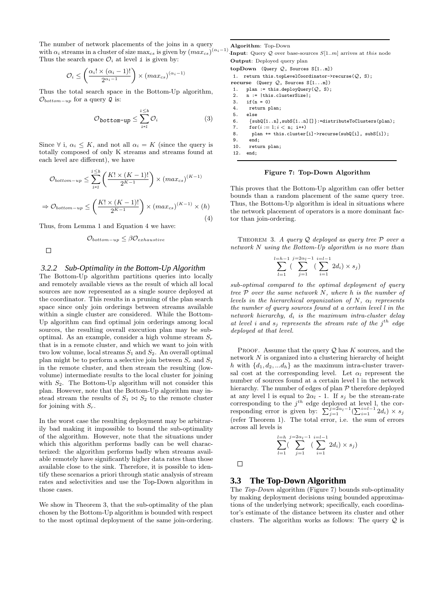The number of network placements of the joins in a query with  $\alpha_i$  streams in a cluster of size max<sub>cs</sub> is given by  $(max_{cs})^{(\alpha_i-1)}$ Thus the search space  $\mathcal{O}_i$  at level i is given by:

$$
\mathcal{O}_i \le \left(\frac{\alpha_i! \times (\alpha_i - 1)!}{2^{\alpha_i - 1}}\right) \times (max_{cs})^{(\alpha_i - 1)}
$$

Thus the total search space in the Bottom-Up algorithm,  $\mathcal{O}_{bottom-up}$  for a query  $Q$  is:

$$
\mathcal{O}_{\text{bottom-up}} \leq \sum_{i=1}^{i \leq h} \mathcal{O}_i \tag{3}
$$

Since  $\forall$  i,  $\alpha_i \leq K$ , and not all  $\alpha_i = K$  (since the query is totally composed of only K streams and streams found at each level are different), we have

$$
\mathcal{O}_{bottom-up} \le \sum_{i=1}^{i \le h} \left( \frac{K! \times (K-1)!}{2^{K-1}} \right) \times (max_{cs})^{(K-1)}
$$

$$
\Rightarrow \mathcal{O}_{bottom-up} \leq \left(\frac{K! \times (K-1)!}{2^{K-1}}\right) \times (max_{cs})^{(K-1)} \times (h)
$$
\n(4)

Thus, from Lemma 1 and Equation 4 we have:

$$
\mathcal{O}_{bottom-up} \leq \beta \mathcal{O}_{exhaustive}
$$

 $\Box$ 

#### *3.2.2 Sub-Optimality in the Bottom-Up Algorithm*

The Bottom-Up algorithm partitions queries into locally and remotely available views as the result of which all local sources are now represented as a single source deployed at the coordinator. This results in a pruning of the plan search space since only join orderings between streams available within a single cluster are considered. While the Bottom-Up algorithm can find optimal join orderings among local sources, the resulting overall execution plan may be suboptimal. As an example, consider a high volume stream  $S_r$ that is in a remote cluster, and which we want to join with two low volume, local streams  $S_1$  and  $S_2$ . An overall optimal plan might be to perform a selective join between  $S_r$  and  $S_1$ in the remote cluster, and then stream the resulting (lowvolume) intermediate results to the local cluster for joining with  $S_2$ . The Bottom-Up algorithm will not consider this plan. However, note that the Bottom-Up algorithm may instead stream the results of  $S_1 \bowtie S_2$  to the remote cluster for joining with  $S_r$ .

In the worst case the resulting deployment may be arbitrarily bad making it impossible to bound the sub-optimality of the algorithm. However, note that the situations under which this algorithm performs badly can be well characterized: the algorithm performs badly when streams available remotely have significantly higher data rates than those available close to the sink. Therefore, it is possible to identify these scenarios a priori through static analysis of stream rates and selectivities and use the Top-Down algorithm in those cases.

We show in Theorem 3, that the sub-optimality of the plan chosen by the Bottom-Up algorithm is bounded with respect to the most optimal deployment of the same join-ordering.

Input: Query  $Q$  over base-sources  $S[1..m]$  arrives at this node Algorithm: Top-Down Output: Deployed query plan topDown (Query Q, Sources S[1..m]) 1. return this.topLevelCoordinator->recurse( $Q$ , S); recurse (Query Q, Sources S[1...m]) 1. plan := this.deploy $Q$ uery $(Q, S)$ ; 2. n := |this.clusterSize|; 3. if  $(n = 0)$ <br>4. return  $p$ 4. return plan; else 6.  $\{subQ[1..n],subS[1..n]]\}$ :=distributeToClusters(plan); 7. for $(i := 1; i < n; i++)$ 8. plan += this.cluster[i]->recurse(subQ[i], subS[i]); 9. end;<br>10. retu return plan;

Figure 7: Top-Down Algorithm

This proves that the Bottom-Up algorithm can offer better bounds than a random placement of the same query tree. Thus, the Bottom-Up algorithm is ideal in situations where the network placement of operators is a more dominant factor than join-ordering.

THEOREM 3. A query  $Q$  deployed as query tree  $P$  over a network N using the Bottom-Up algorithm is no more than

$$
\sum_{l=1}^{l=h-1} \left( \sum_{j=1}^{j=2\alpha_l-1} \left( \sum_{i=1}^{i=l-1} 2d_i \right) \times s_j \right)
$$

sub-optimal compared to the optimal deployment of query tree  $\overline{P}$  over the same network N, where h is the number of levels in the hierarchical organization of N,  $\alpha_l$  represents the number of query sources found at a certain level l in the network hierarchy,  $d_i$  is the maximum intra-cluster delay at level i and  $s_j$  represents the stream rate of the  $j^{th}$  edge deployed at that level.

PROOF. Assume that the query  $Q$  has  $K$  sources, and the network N is organized into a clustering hierarchy of height h with  $\{d_1, d_2, \ldots, d_h\}$  as the maximum intra-cluster traversal cost at the corresponding level. Let  $\alpha_l$  represent the number of sources found at a certain level l in the network hierarchy. The number of edges of plan  $P$  therefore deployed at any level l is equal to  $2\alpha_l$  - 1. If  $s_j$  be the stream-rate corresponding to the  $j^{th}$  edge deployed at level l, the corresponding error is given by:  $\sum_{j=1}^{\tilde{j}=\tilde{2}\alpha_l-1}(\sum_{i=1}^{i=l-1} 2d_i) \times s_j$ (refer Theorem 1). The total error, i.e. the sum of errors across all levels is

$$
\sum_{l=1}^{l=h} \left( \sum_{j=1}^{j=2\alpha_l-1} \left( \sum_{i=1}^{i=l-1} 2d_i \right) \times s_j \right)
$$

 $\Box$ 

12. end;

#### **3.3 The Top-Down Algorithm**

The Top-Down algorithm (Figure 7) bounds sub-optimality by making deployment decisions using bounded approximations of the underlying network; specifically, each coordinator's estimate of the distance between its cluster and other clusters. The algorithm works as follows: The query  $Q$  is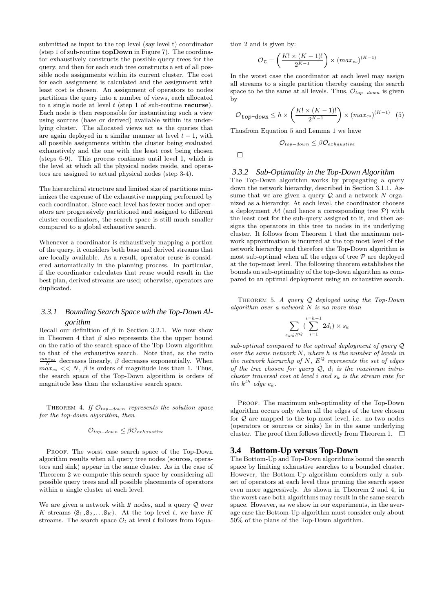submitted as input to the top level (say level t) coordinator (step 1 of sub-routine topDown in Figure 7). The coordinator exhaustively constructs the possible query trees for the query, and then for each such tree constructs a set of all possible node assignments within its current cluster. The cost for each assignment is calculated and the assignment with least cost is chosen. An assignment of operators to nodes partitions the query into a number of views, each allocated to a single node at level  $t$  (step 1 of sub-routine recurse). Each node is then responsible for instantiating such a view using sources (base or derived) available within its underlying cluster. The allocated views act as the queries that are again deployed in a similar manner at level  $t - 1$ , with all possible assignments within the cluster being evaluated exhaustively and the one with the least cost being chosen (steps 6-9). This process continues until level 1, which is the level at which all the physical nodes reside, and operators are assigned to actual physical nodes (step 3-4).

The hierarchical structure and limited size of partitions minimizes the expense of the exhaustive mapping performed by each coordinator. Since each level has fewer nodes and operators are progressively partitioned and assigned to different cluster coordinators, the search space is still much smaller compared to a global exhaustive search.

Whenever a coordinator is exhaustively mapping a portion of the query, it considers both base and derived streams that are locally available. As a result, operator reuse is considered automatically in the planning process. In particular, if the coordinator calculates that reuse would result in the best plan, derived streams are used; otherwise, operators are duplicated.

## *3.3.1 Bounding Search Space with the Top-Down Algorithm*

Recall our definition of  $\beta$  in Section 3.2.1. We now show in Theorem 4 that  $\beta$  also represents the the upper bound on the ratio of the search space of the Top-Down algorithm to that of the exhaustive search. Note that, as the ratio  $\frac{max_{cs}}{N}$  decreases linearly,  $\beta$  decreases exponentially. When  $max_{cs} \ll N$ ,  $\beta$  is orders of magnitude less than 1. Thus, the search space of the Top-Down algorithm is orders of magnitude less than the exhaustive search space.

THEOREM 4. If  $\mathcal{O}_{top-down}$  represents the solution space for the top-down algorithm, then

$$
\mathcal{O}_{top-down} \leq \beta \mathcal{O}_{exhaustive}
$$

PROOF. The worst case search space of the Top-Down algorithm results when all query tree nodes (sources, operators and sink) appear in the same cluster. As in the case of Theorem 2 we compute this search space by considering all possible query trees and all possible placements of operators within a single cluster at each level.

We are given a network with  $N$  nodes, and a query  $Q$  over K streams  $\langle S_1, S_2, \ldots S_K \rangle$ . At the top level t, we have K streams. The search space  $\mathcal{O}_t$  at level t follows from Equation 2 and is given by:

$$
\mathcal{O}_{\mathbf{t}} = \left(\frac{K! \times (K-1)!}{2^{K-1}}\right) \times (max_{cs})^{(K-1)}
$$

In the worst case the coordinator at each level may assign all streams to a single partition thereby causing the search space to be the same at all levels. Thus,  $\mathcal{O}_{top-down}$  is given by

$$
\mathcal{O}_{\text{top-down}} \leq h \times \left(\frac{K! \times (K-1)!}{2^{K-1}}\right) \times (max_{cs})^{(K-1)} \quad (5)
$$

Thusfrom Equation 5 and Lemma 1 we have

$$
\mathcal{O}_{top-down} \leq \beta \mathcal{O}_{exhaustive}
$$

 $\Box$ 

## *3.3.2 Sub-Optimality in the Top-Down Algorithm*

The Top-Down algorithm works by propagating a query down the network hierarchy, described in Section 3.1.1. Assume that we are given a query  $Q$  and a network N organized as a hierarchy. At each level, the coordinator chooses a deployment  $\mathcal M$  (and hence a corresponding tree  $\mathcal P$ ) with the least cost for the sub-query assigned to it, and then assigns the operators in this tree to nodes in its underlying cluster. It follows from Theorem 1 that the maximum network approximation is incurred at the top most level of the network hierarchy and therefore the Top-Down algorithm is most sub-optimal when all the edges of tree  $P$  are deployed at the top-most level. The following theorem establishes the bounds on sub-optimality of the top-down algorithm as compared to an optimal deployment using an exhaustive search.

THEOREM 5. A query  $Q$  deployed using the Top-Down algorithm over a network N is no more than

$$
\sum_{e_k \in E^Q} \left(\sum_{i=1}^{i=h-1} 2d_i\right) \times s_k
$$

sub-optimal compared to the optimal deployment of query Q over the same network N, where h is the number of levels in the network hierarchy of N,  $E^{Q}$  represents the set of edges of the tree chosen for query  $Q$ ,  $d_i$  is the maximum intracluster traversal cost at level i and  $s_k$  is the stream rate for the  $k^{th}$  edge  $e_k$ .

PROOF. The maximum sub-optimality of the Top-Down algorithm occurs only when all the edges of the tree chosen for Q are mapped to the top-most level, i.e. no two nodes (operators or sources or sinks) lie in the same underlying cluster. The proof then follows directly from Theorem 1.  $\Box$ 

#### **3.4 Bottom-Up versus Top-Down**

The Bottom-Up and Top-Down algorithms bound the search space by limiting exhaustive searches to a bounded cluster. However, the Bottom-Up algorithm considers only a subset of operators at each level thus pruning the search space even more aggressively. As shown in Theorem 2 and 4, in the worst case both algorithms may result in the same search space. However, as we show in our experiments, in the average case the Bottom-Up algorithm must consider only about 50% of the plans of the Top-Down algorithm.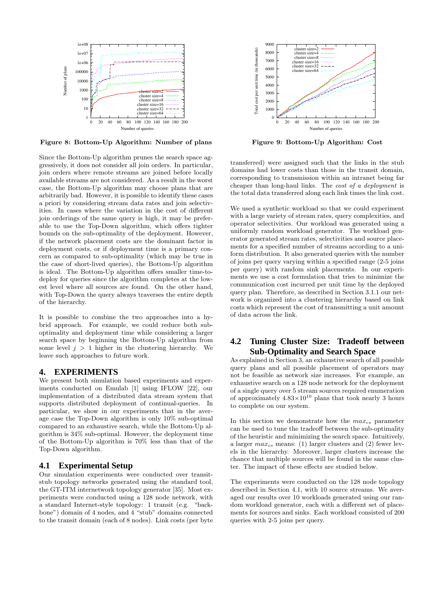

Figure 8: Bottom-Up Algorithm: Number of plans

Since the Bottom-Up algorithm prunes the search space aggressively, it does not consider all join orders. In particular, join orders where remote streams are joined before locally available streams are not considered. As a result in the worst case, the Bottom-Up algorithm may choose plans that are arbitrarily bad. However, it is possible to identify these cases a priori by considering stream data rates and join selectivities. In cases where the variation in the cost of different join orderings of the same query is high, it may be preferable to use the Top-Down algorithm, which offers tighter bounds on the sub-optimality of the deployment. However, if the network placement costs are the dominant factor in deployment costs, or if deployment time is a primary concern as compared to sub-optimality (which may be true in the case of short-lived queries), the Bottom-Up algorithm is ideal. The Bottom-Up algorithm offers smaller time-todeploy for queries since the algorithm completes at the lowest level where all sources are found. On the other hand, with Top-Down the query always traverses the entire depth of the hierarchy.

It is possible to combine the two approaches into a hybrid approach. For example, we could reduce both suboptimality and deployment time while considering a larger search space by beginning the Bottom-Up algorithm from some level  $j > 1$  higher in the clustering hierarchy. We leave such approaches to future work.

#### **4. EXPERIMENTS**

We present both simulation based experiments and experiments conducted on Emulab [1] using IFLOW [22], our implementation of a distributed data stream system that supports distributed deployment of continual-queries. In particular, we show in our experiments that in the average case the Top-Down algorithm is only 10% sub-optimal compared to an exhaustive search, while the Bottom-Up algorithm is 34% sub-optimal. However, the deployment time of the Bottom-Up algorithm is 70% less than that of the Top-Down algorithm.

#### **4.1 Experimental Setup**

Our simulation experiments were conducted over transitstub topology networks generated using the standard tool, the GT-ITM internetwork topology generator [35]. Most experiments were conducted using a 128 node network, with a standard Internet-style topology: 1 transit (e.g. "backbone") domain of 4 nodes, and 4 "stub" domains connected to the transit domain (each of 8 nodes). Link costs (per byte



Figure 9: Bottom-Up Algorithm: Cost

transferred) were assigned such that the links in the stub domains had lower costs than those in the transit domain, corresponding to transmission within an intranet being far cheaper than long-haul links. The cost of a deployment is the total data transferred along each link times the link cost.

We used a synthetic workload so that we could experiment with a large variety of stream rates, query complexities, and operator selectivities. Our workload was generated using a uniformly random workload generator. The workload generator generated stream rates, selectivities and source placements for a specified number of streams according to a uniform distribution. It also generated queries with the number of joins per query varying within a specified range (2-5 joins per query) with random sink placements. In our experiments we use a cost formulation that tries to minimize the communication cost incurred per unit time by the deployed query plan. Therefore, as described in Section 3.1.1 our network is organized into a clustering hierarchy based on link costs which represent the cost of transmitting a unit amount of data across the link.

## **4.2 Tuning Cluster Size: Tradeoff between Sub-Optimality and Search Space**

As explained in Section 3, an exhaustive search of all possible query plans and all possible placement of operators may not be feasible as network size increases. For example, an exhaustive search on a 128 node network for the deployment of a single query over 5 stream sources required enumeration of approximately  $4.83 \times 10^{10}$  plans that took nearly 3 hours to complete on our system.

In this section we demonstrate how the  $max_{cs}$  parameter can be used to tune the tradeoff between the sub-optimality of the heuristic and minimizing the search space. Intuitively, a larger  $max_{cs}$  means: (1) larger clusters and (2) fewer levels in the hierarchy. Moreover, larger clusters increase the chance that multiple sources will be found in the same cluster. The impact of these effects are studied below.

The experiments were conducted on the 128 node topology described in Section 4.1, with 10 source streams. We averaged our results over 10 workloads generated using our random workload generator, each with a different set of placements for sources and sinks. Each workload consisted of 200 queries with 2-5 joins per query.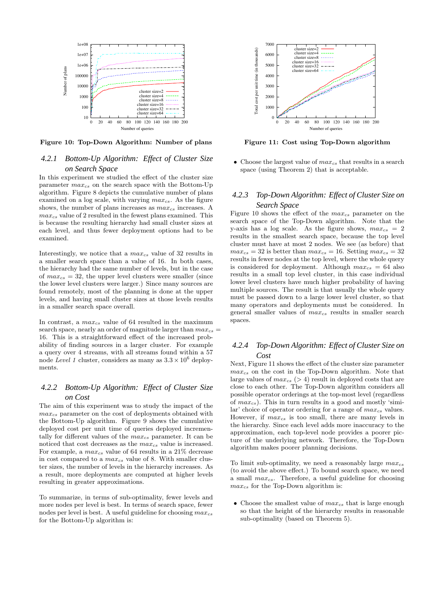

Figure 10: Top-Down Algorithm: Number of plans

## *4.2.1 Bottom-Up Algorithm: Effect of Cluster Size on Search Space*

In this experiment we studied the effect of the cluster size parameter  $max_{cs}$  on the search space with the Bottom-Up algorithm. Figure 8 depicts the cumulative number of plans examined on a log scale, with varying  $max_{cs}$ . As the figure shows, the number of plans increases as  $max_{cs}$  increases. A  $max_{cs}$  value of 2 resulted in the fewest plans examined. This is because the resulting hierarchy had small cluster sizes at each level, and thus fewer deployment options had to be examined.

Interestingly, we notice that a  $max_{cs}$  value of 32 results in a smaller search space than a value of 16. In both cases, the hierarchy had the same number of levels, but in the case of  $max_{cs} = 32$ , the upper level clusters were smaller (since the lower level clusters were larger.) Since many sources are found remotely, most of the planning is done at the upper levels, and having small cluster sizes at those levels results in a smaller search space overall.

In contrast, a  $max_{cs}$  value of 64 resulted in the maximum search space, nearly an order of magnitude larger than  $max_{cs}$  = 16. This is a straightforward effect of the increased probability of finding sources in a larger cluster. For example a query over 4 streams, with all streams found within a 57 node Level 1 cluster, considers as many as  $3.3 \times 10^6$  deployments.

# *4.2.2 Bottom-Up Algorithm: Effect of Cluster Size on Cost*

The aim of this experiment was to study the impact of the  $max_{cs}$  parameter on the cost of deployments obtained with the Bottom-Up algorithm. Figure 9 shows the cumulative deployed cost per unit time of queries deployed incrementally for different values of the  $max_{cs}$  parameter. It can be noticed that cost decreases as the  $max_{cs}$  value is increased. For example, a  $max_{cs}$  value of 64 results in a 21\% decrease in cost compared to a  $max_{cs}$  value of 8. With smaller cluster sizes, the number of levels in the hierarchy increases. As a result, more deployments are computed at higher levels resulting in greater approximations.

To summarize, in terms of sub-optimality, fewer levels and more nodes per level is best. In terms of search space, fewer nodes per level is best. A useful guideline for choosing  $max_{cs}$ for the Bottom-Up algorithm is:



Figure 11: Cost using Top-Down algorithm

• Choose the largest value of  $max_{cs}$  that results in a search space (using Theorem 2) that is acceptable.

## *4.2.3 Top-Down Algorithm: Effect of Cluster Size on Search Space*

Figure 10 shows the effect of the  $max_{cs}$  parameter on the search space of the Top-Down algorithm. Note that the y-axis has a log scale. As the figure shows,  $max_{cs} = 2$ results in the smallest search space, because the top level cluster must have at most 2 nodes. We see (as before) that  $max_{cs} = 32$  is better than  $max_{cs} = 16$ . Setting  $max_{cs} = 32$ results in fewer nodes at the top level, where the whole query is considered for deployment. Although  $max_{cs} = 64$  also results in a small top level cluster, in this case individual lower level clusters have much higher probability of having multiple sources. The result is that usually the whole query must be passed down to a large lower level cluster, so that many operators and deployments must be considered. In general smaller values of  $max_{cs}$  results in smaller search spaces.

## *4.2.4 Top-Down Algorithm: Effect of Cluster Size on Cost*

Next, Figure 11 shows the effect of the cluster size parameter  $max_{cs}$  on the cost in the Top-Down algorithm. Note that large values of  $max_{cs} (> 4)$  result in deployed costs that are close to each other. The Top-Down algorithm considers all possible operator orderings at the top-most level (regardless of  $max_{cs}$ ). This in turn results in a good and mostly 'similar' choice of operator ordering for a range of  $max_{cs}$  values. However, if  $max_{cs}$  is too small, there are many levels in the hierarchy. Since each level adds more inaccuracy to the approximation, each top-level node provides a poorer picture of the underlying network. Therefore, the Top-Down algorithm makes poorer planning decisions.

To limit sub-optimality, we need a reasonably large  $max_{cs}$ (to avoid the above effect.) To bound search space, we need a small  $max_{cs}$ . Therefore, a useful guideline for choosing  $max_{cs}$  for the Top-Down algorithm is:

• Choose the smallest value of  $max_{cs}$  that is large enough so that the height of the hierarchy results in reasonable sub-optimality (based on Theorem 5).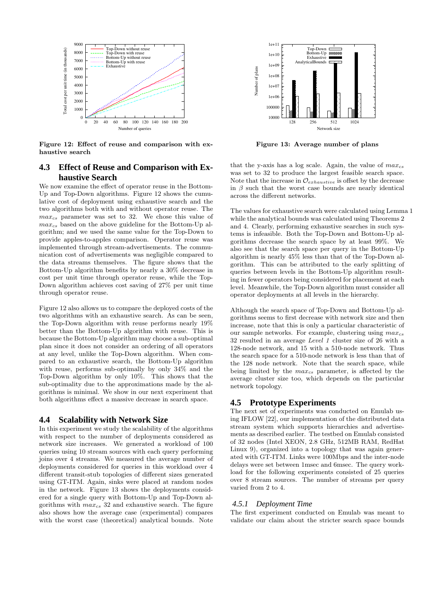

Figure 12: Effect of reuse and comparison with exhaustive search

## **4.3 Effect of Reuse and Comparison with Exhaustive Search**

We now examine the effect of operator reuse in the Bottom-Up and Top-Down algorithms. Figure 12 shows the cumulative cost of deployment using exhaustive search and the two algorithms both with and without operator reuse. The  $max_{cs}$  parameter was set to 32. We chose this value of  $max_{cs}$  based on the above guideline for the Bottom-Up algorithm; and we used the same value for the Top-Down to provide apples-to-apples comparison. Operator reuse was implemented through stream-advertisements. The communication cost of advertisements was negligible compared to the data streams themselves. The figure shows that the Bottom-Up algorithm benefits by nearly a 30% decrease in cost per unit time through operator reuse, while the Top-Down algorithm achieves cost saving of 27% per unit time through operator reuse.

Figure 12 also allows us to compare the deployed costs of the two algorithms with an exhaustive search. As can be seen, the Top-Down algorithm with reuse performs nearly 19% better than the Bottom-Up algorithm with reuse. This is because the Bottom-Up algorithm may choose a sub-optimal plan since it does not consider an ordering of all operators at any level, unlike the Top-Down algorithm. When compared to an exhaustive search, the Bottom-Up algorithm with reuse, performs sub-optimally by only 34% and the Top-Down algorithm by only 10%. This shows that the sub-optimality due to the approximations made by the algorithms is minimal. We show in our next experiment that both algorithms effect a massive decrease in search space.

#### **4.4 Scalability with Network Size**

In this experiment we study the scalability of the algorithms with respect to the number of deployments considered as network size increases. We generated a workload of 100 queries using 10 stream sources with each query performing joins over 4 streams. We measured the average number of deployments considered for queries in this workload over 4 different transit-stub topologies of different sizes generated using GT-ITM. Again, sinks were placed at random nodes in the network. Figure 13 shows the deployments considered for a single query with Bottom-Up and Top-Down algorithms with  $max_{cs}$  32 and exhaustive search. The figure also shows how the average case (experimental) compares with the worst case (theoretical) analytical bounds. Note



Figure 13: Average number of plans

that the y-axis has a log scale. Again, the value of  $max_{cs}$ was set to 32 to produce the largest feasible search space. Note that the increase in  $\mathcal{O}_{exhaustive}$  is offset by the decrease in  $\beta$  such that the worst case bounds are nearly identical across the different networks.

The values for exhaustive search were calculated using Lemma 1 while the analytical bounds was calculated using Theorems 2 and 4. Clearly, performing exhaustive searches in such systems is infeasible. Both the Top-Down and Bottom-Up algorithms decrease the search space by at least 99%. We also see that the search space per query in the Bottom-Up algorithm is nearly 45% less than that of the Top-Down algorithm. This can be attributed to the early splitting of queries between levels in the Bottom-Up algorithm resulting in fewer operators being considered for placement at each level. Meanwhile, the Top-Down algorithm must consider all operator deployments at all levels in the hierarchy.

Although the search space of Top-Down and Bottom-Up algorithms seems to first decrease with network size and then increase, note that this is only a particular characteristic of our sample networks. For example, clustering using  $max_{cs}$ 32 resulted in an average Level 1 cluster size of 26 with a 128-node network, and 15 with a 510-node network. Thus the search space for a 510-node network is less than that of the 128 node network. Note that the search space, while being limited by the  $max_{cs}$  parameter, is affected by the average cluster size too, which depends on the particular network topology.

## **4.5 Prototype Experiments**

The next set of experiments was conducted on Emulab using IFLOW [22], our implementation of the distributed data stream system which supports hierarchies and advertisements as described earlier. The testbed on Emulab consisted of 32 nodes (Intel XEON, 2.8 GHz, 512MB RAM, RedHat Linux 9), organized into a topology that was again generated with GT-ITM. Links were 100Mbps and the inter-node delays were set between 1msec and 6msec. The query workload for the following experiments consisted of 25 queries over 8 stream sources. The number of streams per query varied from 2 to 4.

#### *4.5.1 Deployment Time*

The first experiment conducted on Emulab was meant to validate our claim about the stricter search space bounds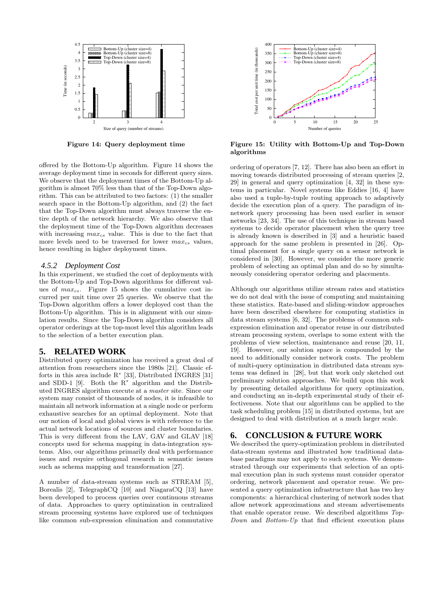

Figure 14: Query deployment time

offered by the Bottom-Up algorithm. Figure 14 shows the average deployment time in seconds for different query sizes. We observe that the deployment times of the Bottom-Up algorithm is almost 70% less than that of the Top-Down algorithm. This can be attributed to two factors: (1) the smaller search space in the Bottom-Up algorithm, and (2) the fact that the Top-Down algorithm must always traverse the entire depth of the network hierarchy. We also observe that the deployment time of the Top-Down algorithm decreases with increasing  $max_{cs}$  value. This is due to the fact that more levels need to be traversed for lower  $max_{cs}$  values, hence resulting in higher deployment times.

#### *4.5.2 Deployment Cost*

In this experiment, we studied the cost of deployments with the Bottom-Up and Top-Down algorithms for different values of  $max_{cs}$ . Figure 15 shows the cumulative cost incurred per unit time over 25 queries. We observe that the Top-Down algorithm offers a lower deployed cost than the Bottom-Up algorithm. This is in alignment with our simulation results. Since the Top-Down algorithm considers all operator orderings at the top-most level this algorithm leads to the selection of a better execution plan.

#### **5. RELATED WORK**

Distributed query optimization has received a great deal of attention from researchers since the 1980s [21]. Classic efforts in this area include R<sup>∗</sup> [33], Distributed INGRES [31] and SDD-1 [9]. Both the  $R^*$  algorithm and the Distributed INGRES algorithm execute at a master site. Since our system may consist of thousands of nodes, it is infeasible to maintain all network information at a single node or perform exhaustive searches for an optimal deployment. Note that our notion of local and global views is with reference to the actual network locations of sources and cluster boundaries. This is very different from the LAV, GAV and GLAV [18] concepts used for schema mapping in data-integration systems. Also, our algorithms primarily deal with performance issues and require orthogonal research in semantic issues such as schema mapping and transformation [27].

A number of data-stream systems such as STREAM [5], Borealis [2], TelegraphCQ [10] and NiagaraCQ [13] have been developed to process queries over continuous streams of data. Approaches to query optimization in centralized stream processing systems have explored use of techniques like common sub-expression elimination and commutative



Figure 15: Utility with Bottom-Up and Top-Down algorithms

ordering of operators [7, 12]. There has also been an effort in moving towards distributed processing of stream queries [2, 29] in general and query optimization [4, 32] in these systems in particular. Novel systems like Eddies [16, 4] have also used a tuple-by-tuple routing approach to adaptively decide the execution plan of a query. The paradigm of innetwork query processing has been used earlier in sensor networks [23, 34]. The use of this technique in stream based systems to decide operator placement when the query tree is already known is described in [3] and a heuristic based approach for the same problem is presented in [26]. Optimal placement for a single query on a sensor network is considered in [30]. However, we consider the more generic problem of selecting an optimal plan and do so by simultaneously considering operator ordering and placements.

Although our algorithms utilize stream rates and statistics we do not deal with the issue of computing and maintaining these statistics. Rate-based and sliding-window approaches have been described elsewhere for computing statistics in data stream systems [6, 32]. The problems of common subexpression elimination and operator reuse in our distributed stream processing system, overlaps to some extent with the problems of view selection, maintenance and reuse [20, 11, 19]. However, our solution space is compounded by the need to additionally consider network costs. The problem of multi-query optimization in distributed data stream systems was defined in [28], but that work only sketched out preliminary solution approaches. We build upon this work by presenting detailed algorithms for query optimization, and conducting an in-depth experimental study of their effectiveness. Note that our algorithms can be applied to the task scheduling problem [15] in distributed systems, but are designed to deal with distribution at a much larger scale.

#### **6. CONCLUSION & FUTURE WORK**

We described the query-optimization problem in distributed data-stream systems and illustrated how traditional database paradigms may not apply to such systems. We demonstrated through our experiments that selection of an optimal execution plan in such systems must consider operator ordering, network placement and operator reuse. We presented a query optimization infrastructure that has two key components: a hierarchical clustering of network nodes that allow network approximations and stream advertisements that enable operator reuse. We described algorithms Top-Down and Bottom-Up that find efficient execution plans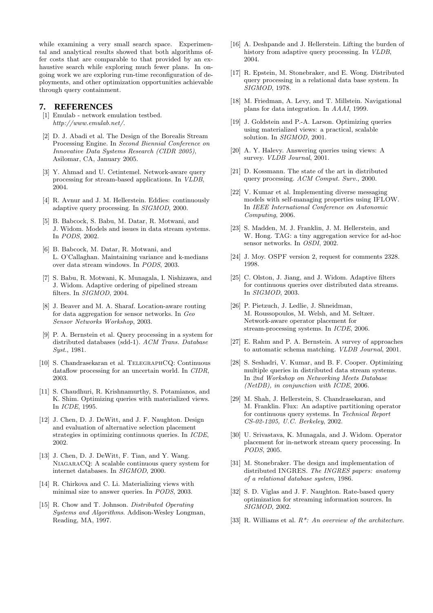while examining a very small search space. Experimental and analytical results showed that both algorithms offer costs that are comparable to that provided by an exhaustive search while exploring much fewer plans. In ongoing work we are exploring run-time reconfiguration of deployments, and other optimization opportunities achievable through query containment.

## **7. REFERENCES**

- [1] Emulab network emulation testbed. http://www.emulab.net/.
- [2] D. J. Abadi et al. The Design of the Borealis Stream Processing Engine. In Second Biennial Conference on Innovative Data Systems Research (CIDR 2005), Asilomar, CA, January 2005.
- [3] Y. Ahmad and U. Cetintemel. Network-aware query processing for stream-based applications. In VLDB, 2004.
- [4] R. Avnur and J. M. Hellerstein. Eddies: continuously adaptive query processing. In SIGMOD, 2000.
- [5] B. Babcock, S. Babu, M. Datar, R. Motwani, and J. Widom. Models and issues in data stream systems. In PODS, 2002.
- [6] B. Babcock, M. Datar, R. Motwani, and L. O'Callaghan. Maintaining variance and k-medians over data stream windows. In PODS, 2003.
- [7] S. Babu, R. Motwani, K. Munagala, I. Nishizawa, and J. Widom. Adaptive ordering of pipelined stream filters. In SIGMOD, 2004.
- [8] J. Beaver and M. A. Sharaf. Location-aware routing for data aggregation for sensor networks. In Geo Sensor Networks Workshop, 2003.
- [9] P. A. Bernstein et al. Query processing in a system for distributed databases (sdd-1). ACM Trans. Database Syst., 1981.
- [10] S. Chandrasekaran et al. TelegraphCQ: Continuous dataflow processing for an uncertain world. In CIDR, 2003.
- [11] S. Chaudhuri, R. Krishnamurthy, S. Potamianos, and K. Shim. Optimizing queries with materialized views. In ICDE, 1995.
- [12] J. Chen, D. J. DeWitt, and J. F. Naughton. Design and evaluation of alternative selection placement strategies in optimizing continuous queries. In ICDE, 2002.
- [13] J. Chen, D. J. DeWitt, F. Tian, and Y. Wang. NiagaraCQ: A scalable continuous query system for internet databases. In SIGMOD, 2000.
- [14] R. Chirkova and C. Li. Materializing views with minimal size to answer queries. In PODS, 2003.
- [15] R. Chow and T. Johnson. Distributed Operating Systems and Algorithms. Addison-Wesley Longman, Reading, MA, 1997.
- [16] A. Deshpande and J. Hellerstein. Lifting the burden of history from adaptive query processing. In VLDB, 2004.
- [17] R. Epstein, M. Stonebraker, and E. Wong. Distributed query processing in a relational data base system. In SIGMOD, 1978.
- [18] M. Friedman, A. Levy, and T. Millstein. Navigational plans for data integration. In AAAI, 1999.
- [19] J. Goldstein and P.-A. Larson. Optimizing queries using materialized views: a practical, scalable solution. In SIGMOD, 2001.
- [20] A. Y. Halevy. Answering queries using views: A survey. *VLDB* Journal, 2001.
- [21] D. Kossmann. The state of the art in distributed query processing. ACM Comput. Surv., 2000.
- [22] V. Kumar et al. Implementing diverse messaging models with self-managing properties using IFLOW. In IEEE International Conference on Autonomic Computing, 2006.
- [23] S. Madden, M. J. Franklin, J. M. Hellerstein, and W. Hong. TAG: a tiny aggregation service for ad-hoc sensor networks. In OSDI, 2002.
- [24] J. Moy. OSPF version 2, request for comments 2328. 1998.
- [25] C. Olston, J. Jiang, and J. Widom. Adaptive filters for continuous queries over distributed data streams. In SIGMOD, 2003.
- [26] P. Pietzuch, J. Ledlie, J. Shneidman, M. Roussopoulos, M. Welsh, and M. Seltzer. Network-aware operator placement for stream-processing systems. In ICDE, 2006.
- [27] E. Rahm and P. A. Bernstein. A survey of approaches to automatic schema matching. VLDB Journal, 2001.
- [28] S. Seshadri, V. Kumar, and B. F. Cooper. Optimizing multiple queries in distributed data stream systems. In 2nd Workshop on Networking Meets Database (NetDB), in conjunction with ICDE, 2006.
- [29] M. Shah, J. Hellerstein, S. Chandrasekaran, and M. Franklin. Flux: An adaptive partitioning operator for continuous query systems. In Technical Report CS-02-1205, U.C. Berkeley, 2002.
- [30] U. Srivastava, K. Munagala, and J. Widom. Operator placement for in-network stream query processing. In PODS, 2005.
- [31] M. Stonebraker. The design and implementation of distributed INGRES. The INGRES papers: anatomy of a relational database system, 1986.
- [32] S. D. Viglas and J. F. Naughton. Rate-based query optimization for streaming information sources. In SIGMOD, 2002.
- [33] R. Williams et al.  $R^*$ : An overview of the architecture.